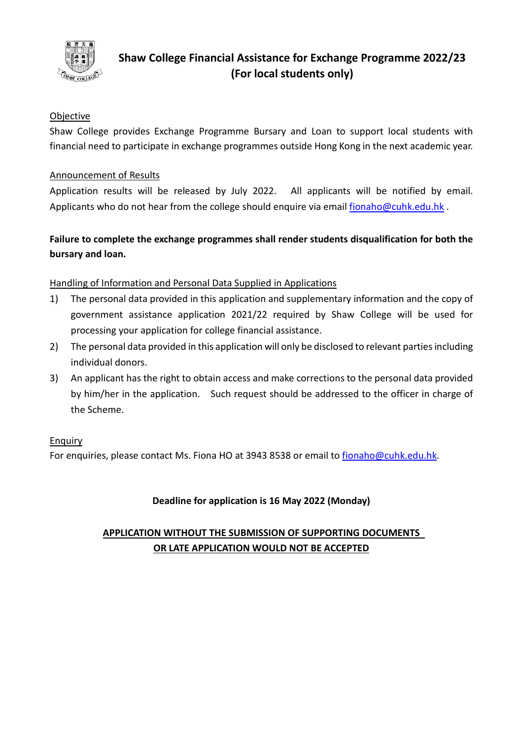

# **Shaw College Financial Assistance for Exchange Programme 2022/23 (For local students only)**

# **Objective**

Shaw College provides Exchange Programme Bursary and Loan to support local students with financial need to participate in exchange programmes outside Hong Kong in the next academic year.

#### Announcement of Results

Application results will be released by July 2022. All applicants will be notified by email. Applicants who do not hear from the college should enquire via email [fionaho@cuhk.edu.hk](mailto:fionaho@cuhk.edu.hk).

# **Failure to complete the exchange programmes shall render students disqualification for both the bursary and loan.**

## Handling of Information and Personal Data Supplied in Applications

- 1) The personal data provided in this application and supplementary information and the copy of government assistance application 2021/22 required by Shaw College will be used for processing your application for college financial assistance.
- 2) The personal data provided in this application will only be disclosed to relevant parties including individual donors.
- 3) An applicant has the right to obtain access and make corrections to the personal data provided by him/her in the application. Such request should be addressed to the officer in charge of the Scheme.

#### **Enquiry**

For enquiries, please contact Ms. Fiona HO at 3943 8538 or email to [fionaho@cuhk.edu.hk.](mailto:fionaho@cuhk.edu.hk)

## **Deadline for application is 16 May 2022 (Monday)**

# **APPLICATION WITHOUT THE SUBMISSION OF SUPPORTING DOCUMENTS OR LATE APPLICATION WOULD NOT BE ACCEPTED**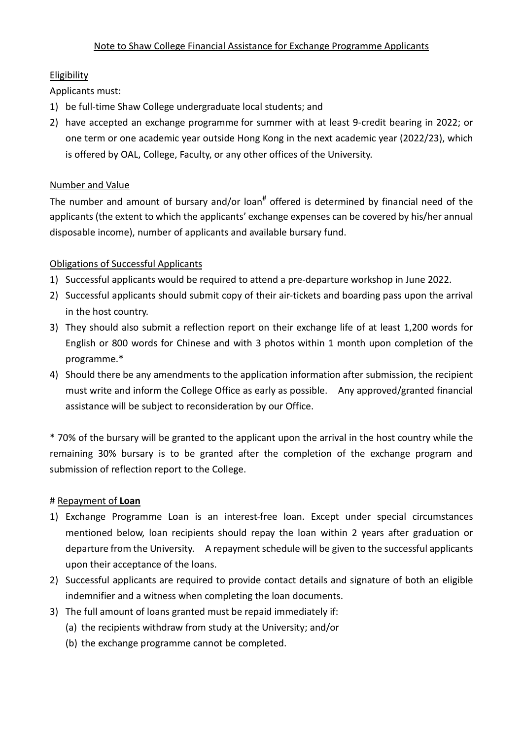# **Eligibility**

Applicants must:

- 1) be full-time Shaw College undergraduate local students; and
- 2) have accepted an exchange programme for summer with at least 9-credit bearing in 2022; or one term or one academic year outside Hong Kong in the next academic year (2022/23), which is offered by OAL, College, Faculty, or any other offices of the University.

# Number and Value

The number and amount of bursary and/or loan<sup>#</sup> offered is determined by financial need of the applicants (the extent to which the applicants' exchange expenses can be covered by his/her annual disposable income), number of applicants and available bursary fund.

# Obligations of Successful Applicants

- 1) Successful applicants would be required to attend a pre-departure workshop in June 2022.
- 2) Successful applicants should submit copy of their air-tickets and boarding pass upon the arrival in the host country.
- 3) They should also submit a reflection report on their exchange life of at least 1,200 words for English or 800 words for Chinese and with 3 photos within 1 month upon completion of the programme.\*
- 4) Should there be any amendments to the application information after submission, the recipient must write and inform the College Office as early as possible. Any approved/granted financial assistance will be subject to reconsideration by our Office.

\* 70% of the bursary will be granted to the applicant upon the arrival in the host country while the remaining 30% bursary is to be granted after the completion of the exchange program and submission of reflection report to the College.

## # Repayment of **Loan**

- 1) Exchange Programme Loan is an interest-free loan. Except under special circumstances mentioned below, loan recipients should repay the loan within 2 years after graduation or departure from the University. A repayment schedule will be given to the successful applicants upon their acceptance of the loans.
- 2) Successful applicants are required to provide contact details and signature of both an eligible indemnifier and a witness when completing the loan documents.
- 3) The full amount of loans granted must be repaid immediately if:
	- (a) the recipients withdraw from study at the University; and/or
	- (b) the exchange programme cannot be completed.